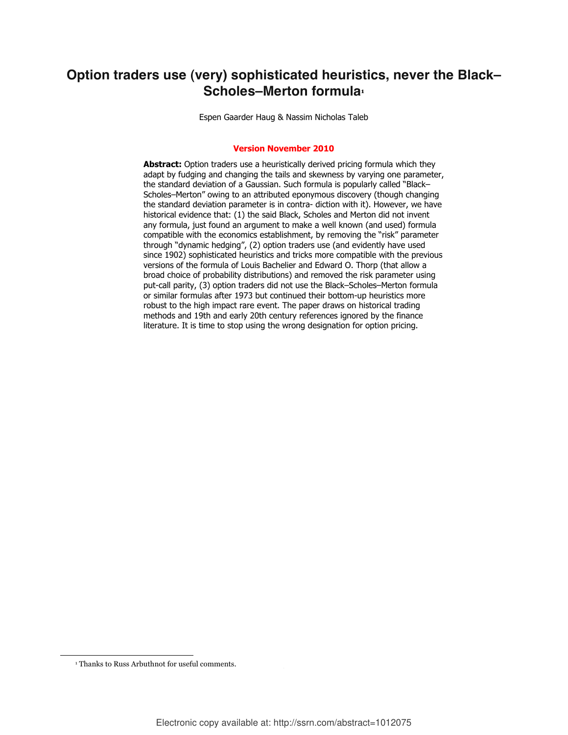# **Option traders use (very) sophisticated heuristics, never the Black– Scholes–Merton formula<sup>1</sup>**

Espen Gaarder Haug & Nassim Nicholas Taleb

## **Version November 2010**

Abstract: Option traders use a heuristically derived pricing formula which they adapt by fudging and changing the tails and skewness by varying one parameter, the standard deviation of a Gaussian. Such formula is popularly called "Black– Scholes–Merton" owing to an attributed eponymous discovery (though changing the standard deviation parameter is in contra- diction with it). However, we have historical evidence that: (1) the said Black, Scholes and Merton did not invent any formula, just found an argument to make a well known (and used) formula compatible with the economics establishment, by removing the "risk" parameter through "dynamic hedging", (2) option traders use (and evidently have used since 1902) sophisticated heuristics and tricks more compatible with the previous versions of the formula of Louis Bachelier and Edward O. Thorp (that allow a broad choice of probability distributions) and removed the risk parameter using put-call parity, (3) option traders did not use the Black–Scholes–Merton formula or similar formulas after 1973 but continued their bottom-up heuristics more robust to the high impact rare event. The paper draws on historical trading methods and 19th and early 20th century references ignored by the finance literature. It is time to stop using the wrong designation for option pricing.

ł

<sup>1</sup> Thanks to Russ Arbuthnot for useful comments.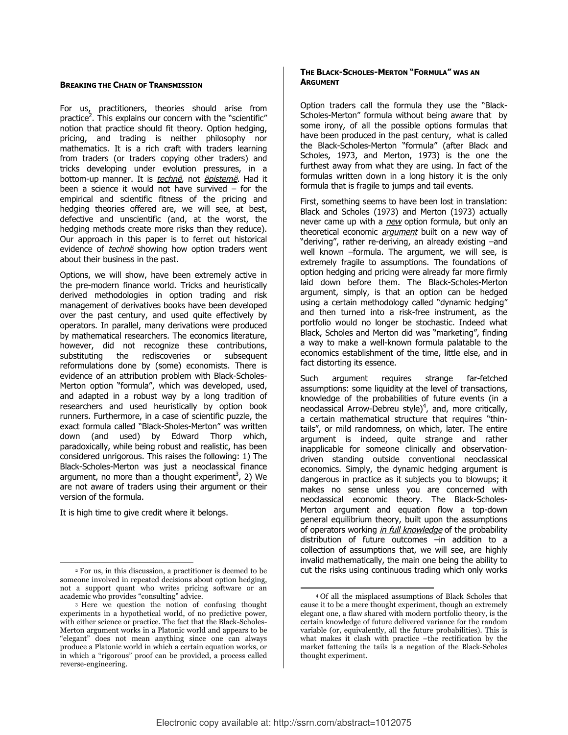#### **BREAKING THE CHAIN OF TRANSMISSION**

For us, practitioners, theories should arise from practice<sup>2</sup>. This explains our concern with the "scientific" notion that practice should fit theory. Option hedging, pricing, and trading is neither philosophy nor mathematics. It is a rich craft with traders learning from traders (or traders copying other traders) and tricks developing under evolution pressures, in a bottom-up manner. It is technë, not ëpistemë. Had it been a science it would not have survived – for the empirical and scientific fitness of the pricing and hedging theories offered are, we will see, at best, defective and unscientific (and, at the worst, the hedging methods create more risks than they reduce). Our approach in this paper is to ferret out historical evidence of technë showing how option traders went about their business in the past.

Options, we will show, have been extremely active in the pre-modern finance world. Tricks and heuristically derived methodologies in option trading and risk management of derivatives books have been developed over the past century, and used quite effectively by operators. In parallel, many derivations were produced by mathematical researchers. The economics literature, however, did not recognize these contributions, substituting the rediscoveries or subsequent reformulations done by (some) economists. There is evidence of an attribution problem with Black-Scholes-Merton option "formula", which was developed, used, and adapted in a robust way by a long tradition of researchers and used heuristically by option book runners. Furthermore, in a case of scientific puzzle, the exact formula called "Black-Sholes-Merton" was written down (and used) by Edward Thorp which, paradoxically, while being robust and realistic, has been considered unrigorous. This raises the following: 1) The Black-Scholes-Merton was just a neoclassical finance argument, no more than a thought experiment<sup>3</sup>, 2) We are not aware of traders using their argument or their version of the formula.

It is high time to give credit where it belongs.

## **THE BLACK-SCHOLES-MERTON "FORMULA" WAS AN ARGUMENT**

Option traders call the formula they use the "Black-Scholes-Merton" formula without being aware that by some irony, of all the possible options formulas that have been produced in the past century, what is called the Black-Scholes-Merton "formula" (after Black and Scholes, 1973, and Merton, 1973) is the one the furthest away from what they are using. In fact of the formulas written down in a long history it is the only formula that is fragile to jumps and tail events.

First, something seems to have been lost in translation: Black and Scholes (1973) and Merton (1973) actually never came up with a new option formula, but only an theoretical economic *argument* built on a new way of "deriving", rather re-deriving, an already existing –and well known –formula. The argument, we will see, is extremely fragile to assumptions. The foundations of option hedging and pricing were already far more firmly laid down before them. The Black-Scholes-Merton argument, simply, is that an option can be hedged using a certain methodology called "dynamic hedging" and then turned into a risk-free instrument, as the portfolio would no longer be stochastic. Indeed what Black, Scholes and Merton did was "marketing", finding a way to make a well-known formula palatable to the economics establishment of the time, little else, and in fact distorting its essence.

Such argument requires strange far-fetched assumptions: some liquidity at the level of transactions, knowledge of the probabilities of future events (in a neoclassical Arrow-Debreu style)<sup>4</sup>, and, more critically, a certain mathematical structure that requires "thintails", or mild randomness, on which, later. The entire argument is indeed, quite strange and rather inapplicable for someone clinically and observationdriven standing outside conventional neoclassical economics. Simply, the dynamic hedging argument is dangerous in practice as it subjects you to blowups; it makes no sense unless you are concerned with neoclassical economic theory. The Black-Scholes-Merton argument and equation flow a top-down general equilibrium theory, built upon the assumptions of operators working in full knowledge of the probability distribution of future outcomes –in addition to a collection of assumptions that, we will see, are highly invalid mathematically, the main one being the ability to cut the risks using continuous trading which only works

ł <sup>2</sup> For us, in this discussion, a practitioner is deemed to be someone involved in repeated decisions about option hedging, not a support quant who writes pricing software or an academic who provides "consulting" advice.

<sup>3</sup> Here we question the notion of confusing thought experiments in a hypothetical world, of no predictive power, with either science or practice. The fact that the Black-Scholes-Merton argument works in a Platonic world and appears to be "elegant" does not mean anything since one can always produce a Platonic world in which a certain equation works, or in which a "rigorous" proof can be provided, a process called reverse-engineering.

j <sup>4</sup> Of all the misplaced assumptions of Black Scholes that cause it to be a mere thought experiment, though an extremely elegant one, a flaw shared with modern portfolio theory, is the certain knowledge of future delivered variance for the random variable (or, equivalently, all the future probabilities). This is what makes it clash with practice –the rectification by the market fattening the tails is a negation of the Black-Scholes thought experiment.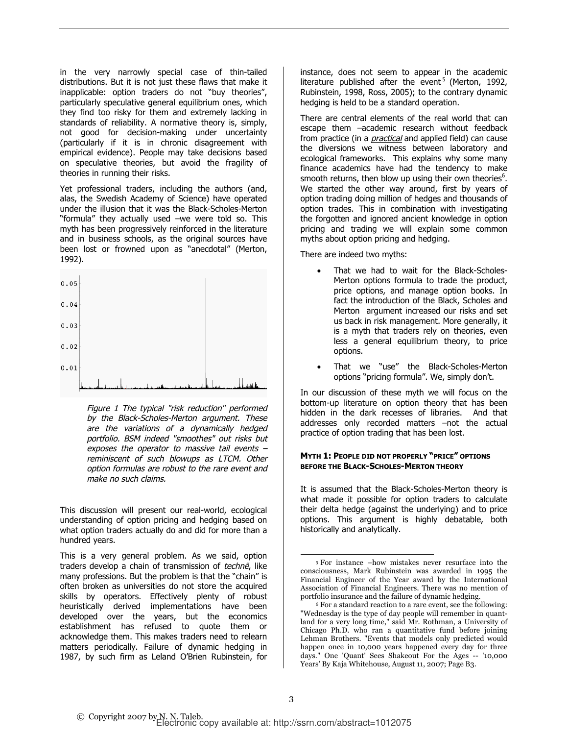in the very narrowly special case of thin-tailed distributions. But it is not just these flaws that make it inapplicable: option traders do not "buy theories", particularly speculative general equilibrium ones, which they find too risky for them and extremely lacking in standards of reliability. A normative theory is, simply, not good for decision-making under uncertainty (particularly if it is in chronic disagreement with empirical evidence). People may take decisions based on speculative theories, but avoid the fragility of theories in running their risks.

Yet professional traders, including the authors (and, alas, the Swedish Academy of Science) have operated under the illusion that it was the Black-Scholes-Merton "formula" they actually used –we were told so. This myth has been progressively reinforced in the literature and in business schools, as the original sources have been lost or frowned upon as "anecdotal" (Merton, 1992).



Figure 1 The typical "risk reduction" performed by the Black-Scholes-Merton argument. These are the variations of a dynamically hedged portfolio. BSM indeed "smoothes" out risks but exposes the operator to massive tail events – reminiscent of such blowups as LTCM. Other option formulas are robust to the rare event and make no such claims.

This discussion will present our real-world, ecological understanding of option pricing and hedging based on what option traders actually do and did for more than a hundred years.

This is a very general problem. As we said, option traders develop a chain of transmission of technë, like many professions. But the problem is that the "chain" is often broken as universities do not store the acquired skills by operators. Effectively plenty of robust heuristically derived implementations have been developed over the years, but the economics establishment has refused to quote them or acknowledge them. This makes traders need to relearn matters periodically. Failure of dynamic hedging in 1987, by such firm as Leland O'Brien Rubinstein, for instance, does not seem to appear in the academic literature published after the event<sup>5</sup> (Merton, 1992, Rubinstein, 1998, Ross, 2005); to the contrary dynamic hedging is held to be a standard operation.

There are central elements of the real world that can escape them –academic research without feedback from practice (in a *practical* and applied field) can cause the diversions we witness between laboratory and ecological frameworks. This explains why some many finance academics have had the tendency to make smooth returns, then blow up using their own theories $^6$ . We started the other way around, first by years of option trading doing million of hedges and thousands of option trades. This in combination with investigating the forgotten and ignored ancient knowledge in option pricing and trading we will explain some common myths about option pricing and hedging.

There are indeed two myths:

- That we had to wait for the Black-Scholes-Merton options formula to trade the product, price options, and manage option books. In fact the introduction of the Black, Scholes and Merton argument increased our risks and set us back in risk management. More generally, it is a myth that traders rely on theories, even less a general equilibrium theory, to price options.
- That we "use" the Black-Scholes-Merton options "pricing formula". We, simply don't.

In our discussion of these myth we will focus on the bottom-up literature on option theory that has been hidden in the dark recesses of libraries. And that addresses only recorded matters –not the actual practice of option trading that has been lost.

# **MYTH 1: PEOPLE DID NOT PROPERLY "PRICE" OPTIONS BEFORE THE BLACK-SCHOLES-MERTON THEORY**

It is assumed that the Black-Scholes-Merton theory is what made it possible for option traders to calculate their delta hedge (against the underlying) and to price options. This argument is highly debatable, both historically and analytically.

j 5 For instance –how mistakes never resurface into the consciousness, Mark Rubinstein was awarded in 1995 the Financial Engineer of the Year award by the International Association of Financial Engineers. There was no mention of portfolio insurance and the failure of dynamic hedging.

<sup>6</sup> For a standard reaction to a rare event, see the following: "Wednesday is the type of day people will remember in quantland for a very long time," said Mr. Rothman, a University of Chicago Ph.D. who ran a quantitative fund before joining Lehman Brothers. "Events that models only predicted would happen once in 10,000 years happened every day for three days." One 'Quant' Sees Shakeout For the Ages -- '10,000 Years' By Kaja Whitehouse, August 11, 2007; Page B3.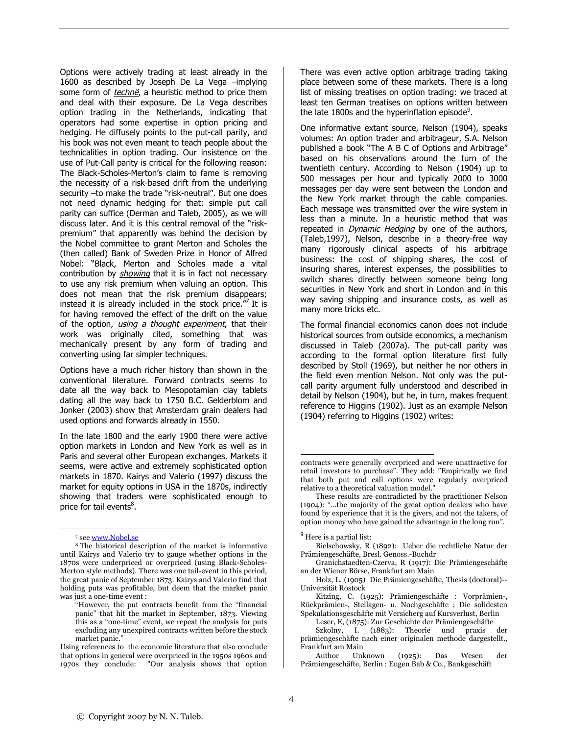Options were actively trading at least already in the 1600 as described by Joseph De La Vega –implying some form of *technë*, a heuristic method to price them and deal with their exposure. De La Vega describes option trading in the Netherlands, indicating that operators had some expertise in option pricing and hedging. He diffusely points to the put-call parity, and his book was not even meant to teach people about the technicalities in option trading. Our insistence on the use of Put-Call parity is critical for the following reason: The Black-Scholes-Merton's claim to fame is removing the necessity of a risk-based drift from the underlying security –to make the trade "risk-neutral". But one does not need dynamic hedging for that: simple put call parity can suffice (Derman and Taleb, 2005), as we will discuss later. And it is this central removal of the "riskpremium" that apparently was behind the decision by the Nobel committee to grant Merton and Scholes the (then called) Bank of Sweden Prize in Honor of Alfred Nobel: "Black, Merton and Scholes made a vital contribution by showing that it is in fact not necessary to use any risk premium when valuing an option. This does not mean that the risk premium disappears; instead it is already included in the stock price. $17$  It is for having removed the effect of the drift on the value of the option, *using a thought experiment*, that their work was originally cited, something that was mechanically present by any form of trading and converting using far simpler techniques.

Options have a much richer history than shown in the conventional literature. Forward contracts seems to date all the way back to Mesopotamian clay tablets dating all the way back to 1750 B.C. Gelderblom and Jonker (2003) show that Amsterdam grain dealers had used options and forwards already in 1550.

In the late 1800 and the early 1900 there were active option markets in London and New York as well as in Paris and several other European exchanges. Markets it seems, were active and extremely sophisticated option markets in 1870. Kairys and Valerio (1997) discuss the market for equity options in USA in the 1870s, indirectly showing that traders were sophisticated enough to price for tail events<sup>8</sup>.

<sup>7</sup> see <u>www.Nobel.se</u>

ł

Using references to the economic literature that also conclude that options in general were overpriced in the 1950s 1960s and 1970s they conclude: "Our analysis shows that option There was even active option arbitrage trading taking place between some of these markets. There is a long list of missing treatises on option trading: we traced at least ten German treatises on options written between the late 1800s and the hyperinflation episode $9$ .

One informative extant source, Nelson (1904), speaks volumes: An option trader and arbitrageur, S.A. Nelson published a book "The A B C of Options and Arbitrage" based on his observations around the turn of the twentieth century. According to Nelson (1904) up to 500 messages per hour and typically 2000 to 3000 messages per day were sent between the London and the New York market through the cable companies. Each message was transmitted over the wire system in less than a minute. In a heuristic method that was repeated in *Dynamic Hedging* by one of the authors, (Taleb,1997), Nelson, describe in a theory-free way many rigorously clinical aspects of his arbitrage business: the cost of shipping shares, the cost of insuring shares, interest expenses, the possibilities to switch shares directly between someone being long securities in New York and short in London and in this way saving shipping and insurance costs, as well as many more tricks etc.

The formal financial economics canon does not include historical sources from outside economics, a mechanism discussed in Taleb (2007a). The put-call parity was according to the formal option literature first fully described by Stoll (1969), but neither he nor others in the field even mention Nelson. Not only was the putcall parity argument fully understood and described in detail by Nelson (1904), but he, in turn, makes frequent reference to Higgins (1902). Just as an example Nelson (1904) referring to Higgins (1902) writes:

j

Granichstaedten-Czerva, R (1917): Die Prämiengeschäfte an der Wiener Börse, Frankfurt am Main

Holz, L. (1905) Die Prämiengeschäfte, Thesis (doctoral)-- Universität Rostock

Kitzing, C. (1925): Prämiengeschäfte : Vorprämien-, Rückprämien-, Stellagen- u. Nochgeschäfte ; Die solidesten Spekulationsgeschäfte mit Versicherg auf Kursverlust, Berlin

Leser, E, (1875): Zur Geschichte der Prämiengeschäfte Szkolny, I. (1883): Theorie und praxis der prämiengeschäfte nach einer originalen methode dargestellt., Frankfurt am Main

Author Unknown (1925): Das Wesen der Prämiengeschäfte, Berlin : Eugen Bab & Co., Bankgeschäft

<sup>8</sup> The historical description of the market is informative until Kairys and Valerio try to gauge whether options in the 1870s were underpriced or overpriced (using Black-Scholes-Merton style methods). There was one tail-event in this period, the great panic of September 1873. Kairys and Valerio find that holding puts was profitable, but deem that the market panic was just a one-time event :

<sup>&</sup>quot;However, the put contracts benefit from the "financial panic" that hit the market in September, 1873. Viewing this as a "one-time" event, we repeat the analysis for puts excluding any unexpired contracts written before the stock market panic."

contracts were generally overpriced and were unattractive for retail investors to purchase". They add: "Empirically we find that both put and call options were regularly overpriced relative to a theoretical valuation model."

These results are contradicted by the practitioner Nelson (1904): "…the majority of the great option dealers who have found by experience that it is the givers, and not the takers, of option money who have gained the advantage in the long run".

<sup>&</sup>lt;sup>9</sup> Here is a partial list:

Bielschowsky, R (1892): Ueber die rechtliche Natur der Prämiengeschäfte, Bresl. Genoss.-Buchdr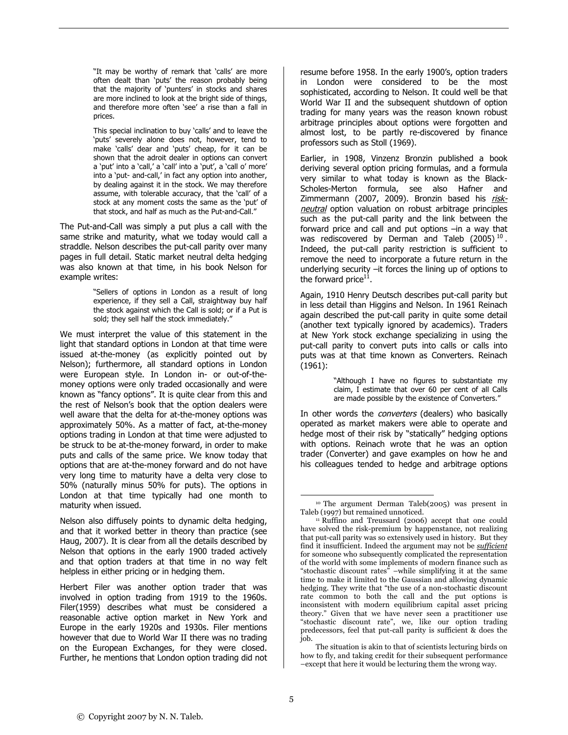"It may be worthy of remark that 'calls' are more often dealt than 'puts' the reason probably being that the majority of 'punters' in stocks and shares are more inclined to look at the bright side of things, and therefore more often 'see' a rise than a fall in prices.

This special inclination to buy 'calls' and to leave the 'puts' severely alone does not, however, tend to make 'calls' dear and 'puts' cheap, for it can be shown that the adroit dealer in options can convert a 'put' into a 'call,' a 'call' into a 'put', a 'call o' more' into a 'put- and-call,' in fact any option into another, by dealing against it in the stock. We may therefore assume, with tolerable accuracy, that the 'call' of a stock at any moment costs the same as the 'put' of that stock, and half as much as the Put-and-Call."

The Put-and-Call was simply a put plus a call with the same strike and maturity, what we today would call a straddle. Nelson describes the put-call parity over many pages in full detail. Static market neutral delta hedging was also known at that time, in his book Nelson for example writes:

> "Sellers of options in London as a result of long experience, if they sell a Call, straightway buy half the stock against which the Call is sold; or if a Put is sold; they sell half the stock immediately."

We must interpret the value of this statement in the light that standard options in London at that time were issued at-the-money (as explicitly pointed out by Nelson); furthermore, all standard options in London were European style. In London in- or out-of-themoney options were only traded occasionally and were known as "fancy options". It is quite clear from this and the rest of Nelson's book that the option dealers were well aware that the delta for at-the-money options was approximately 50%. As a matter of fact, at-the-money options trading in London at that time were adjusted to be struck to be at-the-money forward, in order to make puts and calls of the same price. We know today that options that are at-the-money forward and do not have very long time to maturity have a delta very close to 50% (naturally minus 50% for puts). The options in London at that time typically had one month to maturity when issued.

Nelson also diffusely points to dynamic delta hedging, and that it worked better in theory than practice (see Haug, 2007). It is clear from all the details described by Nelson that options in the early 1900 traded actively and that option traders at that time in no way felt helpless in either pricing or in hedging them.

Herbert Filer was another option trader that was involved in option trading from 1919 to the 1960s. Filer(1959) describes what must be considered a reasonable active option market in New York and Europe in the early 1920s and 1930s. Filer mentions however that due to World War II there was no trading on the European Exchanges, for they were closed. Further, he mentions that London option trading did not

resume before 1958. In the early 1900's, option traders in London were considered to be the most sophisticated, according to Nelson. It could well be that World War II and the subsequent shutdown of option trading for many years was the reason known robust arbitrage principles about options were forgotten and almost lost, to be partly re-discovered by finance professors such as Stoll (1969).

Earlier, in 1908, Vinzenz Bronzin published a book deriving several option pricing formulas, and a formula very similar to what today is known as the Black-Scholes-Merton formula, see also Hafner and Zimmermann (2007, 2009). Bronzin based his riskneutral option valuation on robust arbitrage principles such as the put-call parity and the link between the forward price and call and put options –in a way that was rediscovered by Derman and Taleb (2005) $^{10}$ . Indeed, the put-call parity restriction is sufficient to remove the need to incorporate a future return in the underlying security –it forces the lining up of options to the forward price $^{11}$ .

Again, 1910 Henry Deutsch describes put-call parity but in less detail than Higgins and Nelson. In 1961 Reinach again described the put-call parity in quite some detail (another text typically ignored by academics). Traders at New York stock exchange specializing in using the put-call parity to convert puts into calls or calls into puts was at that time known as Converters. Reinach (1961):

> "Although I have no figures to substantiate my claim, I estimate that over 60 per cent of all Calls are made possible by the existence of Converters."

In other words the *converters* (dealers) who basically operated as market makers were able to operate and hedge most of their risk by "statically" hedging options with options. Reinach wrote that he was an option trader (Converter) and gave examples on how he and his colleagues tended to hedge and arbitrage options

The situation is akin to that of scientists lecturing birds on how to fly, and taking credit for their subsequent performance –except that here it would be lecturing them the wrong way.

j

<sup>10</sup> The argument Derman Taleb(2005) was present in Taleb (1997) but remained unnoticed.

<sup>11</sup> Ruffino and Treussard (2006) accept that one could have solved the risk-premium by happenstance, not realizing that put-call parity was so extensively used in history. But they find it insufficient. Indeed the argument may not be *sufficient* for someone who subsequently complicated the representation of the world with some implements of modern finance such as "stochastic discount rates" –while simplifying it at the same time to make it limited to the Gaussian and allowing dynamic hedging. They write that "the use of a non-stochastic discount rate common to both the call and the put options is inconsistent with modern equilibrium capital asset pricing theory." Given that we have never seen a practitioner use "stochastic discount rate", we, like our option trading predecessors, feel that put-call parity is sufficient & does the job.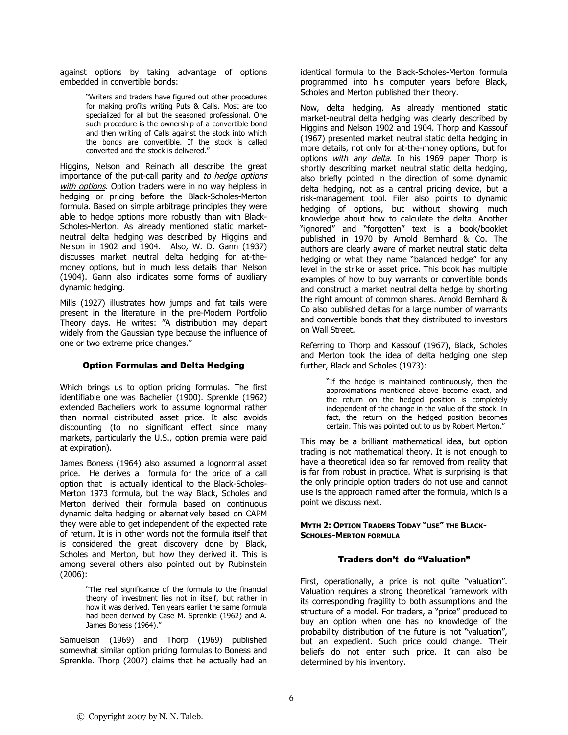against options by taking advantage of options embedded in convertible bonds:

> "Writers and traders have figured out other procedures for making profits writing Puts & Calls. Most are too specialized for all but the seasoned professional. One such procedure is the ownership of a convertible bond and then writing of Calls against the stock into which the bonds are convertible. If the stock is called converted and the stock is delivered."

Higgins, Nelson and Reinach all describe the great importance of the put-call parity and to hedge options with options. Option traders were in no way helpless in hedging or pricing before the Black-Scholes-Merton formula. Based on simple arbitrage principles they were able to hedge options more robustly than with Black-Scholes-Merton. As already mentioned static marketneutral delta hedging was described by Higgins and Nelson in 1902 and 1904. Also, W. D. Gann (1937) discusses market neutral delta hedging for at-themoney options, but in much less details than Nelson (1904). Gann also indicates some forms of auxiliary dynamic hedging.

Mills (1927) illustrates how jumps and fat tails were present in the literature in the pre-Modern Portfolio Theory days. He writes: "A distribution may depart widely from the Gaussian type because the influence of one or two extreme price changes."

## Option Formulas and Delta Hedging

Which brings us to option pricing formulas. The first identifiable one was Bachelier (1900). Sprenkle (1962) extended Bacheliers work to assume lognormal rather than normal distributed asset price. It also avoids discounting (to no significant effect since many markets, particularly the U.S., option premia were paid at expiration).

James Boness (1964) also assumed a lognormal asset price. He derives a formula for the price of a call option that is actually identical to the Black-Scholes-Merton 1973 formula, but the way Black, Scholes and Merton derived their formula based on continuous dynamic delta hedging or alternatively based on CAPM they were able to get independent of the expected rate of return. It is in other words not the formula itself that is considered the great discovery done by Black, Scholes and Merton, but how they derived it. This is among several others also pointed out by Rubinstein (2006):

> "The real significance of the formula to the financial theory of investment lies not in itself, but rather in how it was derived. Ten years earlier the same formula had been derived by Case M. Sprenkle (1962) and A. James Boness (1964)."

Samuelson (1969) and Thorp (1969) published somewhat similar option pricing formulas to Boness and Sprenkle. Thorp (2007) claims that he actually had an

identical formula to the Black-Scholes-Merton formula programmed into his computer years before Black, Scholes and Merton published their theory.

Now, delta hedging. As already mentioned static market-neutral delta hedging was clearly described by Higgins and Nelson 1902 and 1904. Thorp and Kassouf (1967) presented market neutral static delta hedging in more details, not only for at-the-money options, but for options with any delta. In his 1969 paper Thorp is shortly describing market neutral static delta hedging, also briefly pointed in the direction of some dynamic delta hedging, not as a central pricing device, but a risk-management tool. Filer also points to dynamic hedging of options, but without showing much knowledge about how to calculate the delta. Another "ignored" and "forgotten" text is a book/booklet published in 1970 by Arnold Bernhard & Co. The authors are clearly aware of market neutral static delta hedging or what they name "balanced hedge" for any level in the strike or asset price. This book has multiple examples of how to buy warrants or convertible bonds and construct a market neutral delta hedge by shorting the right amount of common shares. Arnold Bernhard & Co also published deltas for a large number of warrants and convertible bonds that they distributed to investors on Wall Street.

Referring to Thorp and Kassouf (1967), Black, Scholes and Merton took the idea of delta hedging one step further, Black and Scholes (1973):

> "If the hedge is maintained continuously, then the approximations mentioned above become exact, and the return on the hedged position is completely independent of the change in the value of the stock. In fact, the return on the hedged position becomes certain. This was pointed out to us by Robert Merton."

This may be a brilliant mathematical idea, but option trading is not mathematical theory. It is not enough to have a theoretical idea so far removed from reality that is far from robust in practice. What is surprising is that the only principle option traders do not use and cannot use is the approach named after the formula, which is a point we discuss next.

## **MYTH 2: OPTION TRADERS TODAY "USE" THE BLACK-SCHOLES-MERTON FORMULA**

# Traders don't do "Valuation"

First, operationally, a price is not quite "valuation". Valuation requires a strong theoretical framework with its corresponding fragility to both assumptions and the structure of a model. For traders, a "price" produced to buy an option when one has no knowledge of the probability distribution of the future is not "valuation", but an expedient. Such price could change. Their beliefs do not enter such price. It can also be determined by his inventory.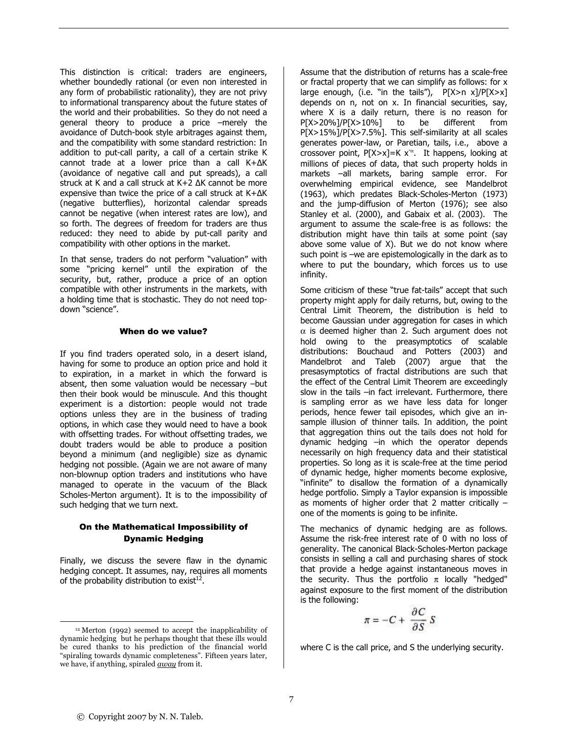This distinction is critical: traders are engineers, whether boundedly rational (or even non interested in any form of probabilistic rationality), they are not privy to informational transparency about the future states of the world and their probabilities. So they do not need a general theory to produce a price –merely the avoidance of Dutch-book style arbitrages against them, and the compatibility with some standard restriction: In addition to put-call parity, a call of a certain strike K cannot trade at a lower price than a call K+∆K (avoidance of negative call and put spreads), a call struck at K and a call struck at K+2 ∆K cannot be more expensive than twice the price of a call struck at K+∆K (negative butterflies), horizontal calendar spreads cannot be negative (when interest rates are low), and so forth. The degrees of freedom for traders are thus reduced: they need to abide by put-call parity and compatibility with other options in the market.

In that sense, traders do not perform "valuation" with some "pricing kernel" until the expiration of the security, but, rather, produce a price of an option compatible with other instruments in the markets, with a holding time that is stochastic. They do not need topdown "science".

## When do we value?

If you find traders operated solo, in a desert island, having for some to produce an option price and hold it to expiration, in a market in which the forward is absent, then some valuation would be necessary –but then their book would be minuscule. And this thought experiment is a distortion: people would not trade options unless they are in the business of trading options, in which case they would need to have a book with offsetting trades. For without offsetting trades, we doubt traders would be able to produce a position beyond a minimum (and negligible) size as dynamic hedging not possible. (Again we are not aware of many non-blownup option traders and institutions who have managed to operate in the vacuum of the Black Scholes-Merton argument). It is to the impossibility of such hedging that we turn next.

# On the Mathematical Impossibility of Dynamic Hedging

Finally, we discuss the severe flaw in the dynamic hedging concept. It assumes, nay, requires all moments of the probability distribution to exist $^{12}$ .

Assume that the distribution of returns has a scale-free or fractal property that we can simplify as follows: for x large enough, (i.e. "in the tails"),  $P[X>n x]/P[X>x]$ depends on n, not on x. In financial securities, say, where X is a daily return, there is no reason for P[X>20%]/P[X>10%] to be different from P[X>15%]/P[X>7.5%]. This self-similarity at all scales generates power-law, or Paretian, tails, i.e., above a crossover point,  $P[X > x] = K x^{\alpha}$ . It happens, looking at millions of pieces of data, that such property holds in markets –all markets, baring sample error. For overwhelming empirical evidence, see Mandelbrot (1963), which predates Black-Scholes-Merton (1973) and the jump-diffusion of Merton (1976); see also Stanley et al. (2000), and Gabaix et al. (2003). The argument to assume the scale-free is as follows: the distribution might have thin tails at some point (say above some value of X). But we do not know where such point is –we are epistemologically in the dark as to where to put the boundary, which forces us to use infinity.

Some criticism of these "true fat-tails" accept that such property might apply for daily returns, but, owing to the Central Limit Theorem, the distribution is held to become Gaussian under aggregation for cases in which  $\alpha$  is deemed higher than 2. Such argument does not hold owing to the preasymptotics of scalable distributions: Bouchaud and Potters (2003) and Mandelbrot and Taleb (2007) argue that the presasymptotics of fractal distributions are such that the effect of the Central Limit Theorem are exceedingly slow in the tails –in fact irrelevant. Furthermore, there is sampling error as we have less data for longer periods, hence fewer tail episodes, which give an insample illusion of thinner tails. In addition, the point that aggregation thins out the tails does not hold for dynamic hedging –in which the operator depends necessarily on high frequency data and their statistical properties. So long as it is scale-free at the time period of dynamic hedge, higher moments become explosive, "infinite" to disallow the formation of a dynamically hedge portfolio. Simply a Taylor expansion is impossible as moments of higher order that 2 matter critically  $$ one of the moments is going to be infinite.

The mechanics of dynamic hedging are as follows. Assume the risk-free interest rate of 0 with no loss of generality. The canonical Black-Scholes-Merton package consists in selling a call and purchasing shares of stock that provide a hedge against instantaneous moves in the security. Thus the portfolio  $\pi$  locally "hedged" against exposure to the first moment of the distribution is the following:

$$
\pi = -C + \frac{\partial C}{\partial S} S
$$

where C is the call price, and S the underlying security.

ł <sup>12</sup> Merton (1992) seemed to accept the inapplicability of dynamic hedging but he perhaps thought that these ills would be cured thanks to his prediction of the financial world "spiraling towards dynamic completeness". Fifteen years later, we have, if anything, spiraled *away* from it.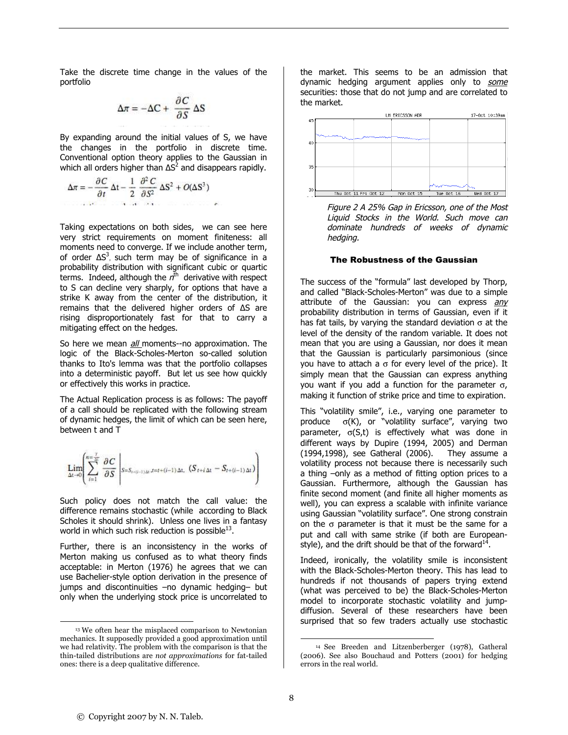Take the discrete time change in the values of the portfolio

$$
\Delta \pi = -\Delta C + \frac{\partial C}{\partial S} \Delta S
$$

By expanding around the initial values of S, we have the changes in the portfolio in discrete time. Conventional option theory applies to the Gaussian in which all orders higher than  $\Delta S^2$  and disappears rapidly.

$$
\Delta \pi = -\frac{\partial C}{\partial t} \, \Delta t - \frac{1}{2} \, \frac{\partial^2 C}{\partial S^2} \, \Delta S^2 + O(\Delta S^3)
$$

Taking expectations on both sides, we can see here very strict requirements on moment finiteness: all moments need to converge. If we include another term, of order  $\Delta S^3$ , such term may be of significance in a probability distribution with significant cubic or quartic terms. Indeed, although the  $n^{\text{th}}$  derivative with respect to S can decline very sharply, for options that have a strike K away from the center of the distribution, it remains that the delivered higher orders of ∆S are rising disproportionately fast for that to carry a mitigating effect on the hedges.

So here we mean *all* moments--no approximation. The logic of the Black-Scholes-Merton so-called solution thanks to Ito's lemma was that the portfolio collapses into a deterministic payoff. But let us see how quickly or effectively this works in practice.

The Actual Replication process is as follows: The payoff of a call should be replicated with the following stream of dynamic hedges, the limit of which can be seen here, between t and T

$$
\underset{\Delta t \rightarrow 0}{\text{Lim}}\left(\sum_{i=1}^{n=\frac{T}{\Delta t}}\left.\frac{\partial\,C}{\partial\,S}\,\,\right|_{S=S_{t+(i-1)\Delta t}\cdot t=t+(i-1)\Delta t,\ \, (S_{t+i\Delta t}-S_{t+(i-1)\Delta t})\right)
$$

Such policy does not match the call value: the difference remains stochastic (while according to Black Scholes it should shrink). Unless one lives in a fantasy world in which such risk reduction is possible $^{13}$ .

Further, there is an inconsistency in the works of Merton making us confused as to what theory finds acceptable: in Merton (1976) he agrees that we can use Bachelier-style option derivation in the presence of jumps and discontinuities –no dynamic hedging– but only when the underlying stock price is uncorrelated to

the market. This seems to be an admission that dynamic hedging argument applies only to some securities: those that do not jump and are correlated to the market.



Figure 2 A 25% Gap in Ericsson, one of the Most Liquid Stocks in the World. Such move can dominate hundreds of weeks of dynamic hedging.

## The Robustness of the Gaussian

The success of the "formula" last developed by Thorp, and called "Black-Scholes-Merton" was due to a simple attribute of the Gaussian: you can express any probability distribution in terms of Gaussian, even if it has fat tails, by varying the standard deviation  $\sigma$  at the level of the density of the random variable. It does not mean that you are using a Gaussian, nor does it mean that the Gaussian is particularly parsimonious (since you have to attach a  $\sigma$  for every level of the price). It simply mean that the Gaussian can express anything you want if you add a function for the parameter σ, making it function of strike price and time to expiration.

This "volatility smile", i.e., varying one parameter to produce  $\sigma(K)$ , or "volatility surface", varying two parameter,  $\sigma(S,t)$  is effectively what was done in different ways by Dupire (1994, 2005) and Derman (1994,1998), see Gatheral (2006). They assume a volatility process not because there is necessarily such a thing –only as a method of fitting option prices to a Gaussian. Furthermore, although the Gaussian has finite second moment (and finite all higher moments as well), you can express a scalable with infinite variance using Gaussian "volatility surface". One strong constrain on the  $\sigma$  parameter is that it must be the same for a put and call with same strike (if both are Europeanstyle), and the drift should be that of the forward $^{14}$ .

Indeed, ironically, the volatility smile is inconsistent with the Black-Scholes-Merton theory. This has lead to hundreds if not thousands of papers trying extend (what was perceived to be) the Black-Scholes-Merton model to incorporate stochastic volatility and jumpdiffusion. Several of these researchers have been surprised that so few traders actually use stochastic

ł

j

<sup>13</sup> We often hear the misplaced comparison to Newtonian mechanics. It supposedly provided a good approximation until we had relativity. The problem with the comparison is that the thin-tailed distributions are *not approximations* for fat-tailed ones: there is a deep qualitative difference.

<sup>14</sup> See Breeden and Litzenberberger (1978), Gatheral (2006). See also Bouchaud and Potters (2001) for hedging errors in the real world.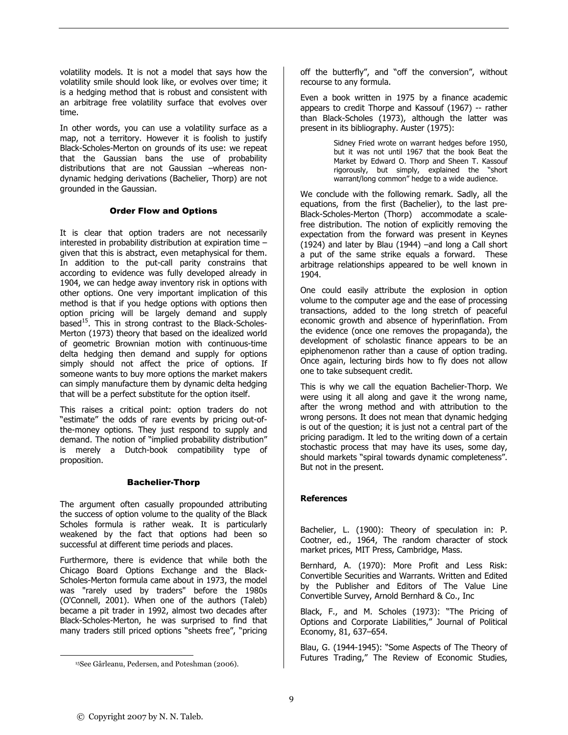volatility models. It is not a model that says how the volatility smile should look like, or evolves over time; it is a hedging method that is robust and consistent with an arbitrage free volatility surface that evolves over time.

In other words, you can use a volatility surface as a map, not a territory. However it is foolish to justify Black-Scholes-Merton on grounds of its use: we repeat that the Gaussian bans the use of probability distributions that are not Gaussian –whereas nondynamic hedging derivations (Bachelier, Thorp) are not grounded in the Gaussian.

# Order Flow and Options

It is clear that option traders are not necessarily interested in probability distribution at expiration time – given that this is abstract, even metaphysical for them. In addition to the put-call parity constrains that according to evidence was fully developed already in 1904, we can hedge away inventory risk in options with other options. One very important implication of this method is that if you hedge options with options then option pricing will be largely demand and supply based<sup>15</sup>. This in strong contrast to the Black-Scholes-Merton (1973) theory that based on the idealized world of geometric Brownian motion with continuous-time delta hedging then demand and supply for options simply should not affect the price of options. If someone wants to buy more options the market makers can simply manufacture them by dynamic delta hedging that will be a perfect substitute for the option itself.

This raises a critical point: option traders do not "estimate" the odds of rare events by pricing out-ofthe-money options. They just respond to supply and demand. The notion of "implied probability distribution" is merely a Dutch-book compatibility type of proposition.

## Bachelier-Thorp

The argument often casually propounded attributing the success of option volume to the quality of the Black Scholes formula is rather weak. It is particularly weakened by the fact that options had been so successful at different time periods and places.

Furthermore, there is evidence that while both the Chicago Board Options Exchange and the Black-Scholes-Merton formula came about in 1973, the model was "rarely used by traders" before the 1980s (O'Connell, 2001). When one of the authors (Taleb) became a pit trader in 1992, almost two decades after Black-Scholes-Merton, he was surprised to find that many traders still priced options "sheets free", "pricing

off the butterfly", and "off the conversion", without recourse to any formula.

Even a book written in 1975 by a finance academic appears to credit Thorpe and Kassouf (1967) -- rather than Black-Scholes (1973), although the latter was present in its bibliography. Auster (1975):

> Sidney Fried wrote on warrant hedges before 1950. but it was not until 1967 that the book Beat the Market by Edward O. Thorp and Sheen T. Kassouf rigorously, but simply, explained the "short warrant/long common" hedge to a wide audience.

We conclude with the following remark. Sadly, all the equations, from the first (Bachelier), to the last pre-Black-Scholes-Merton (Thorp) accommodate a scalefree distribution. The notion of explicitly removing the expectation from the forward was present in Keynes (1924) and later by Blau (1944) –and long a Call short a put of the same strike equals a forward. These arbitrage relationships appeared to be well known in 1904.

One could easily attribute the explosion in option volume to the computer age and the ease of processing transactions, added to the long stretch of peaceful economic growth and absence of hyperinflation. From the evidence (once one removes the propaganda), the development of scholastic finance appears to be an epiphenomenon rather than a cause of option trading. Once again, lecturing birds how to fly does not allow one to take subsequent credit.

This is why we call the equation Bachelier-Thorp. We were using it all along and gave it the wrong name, after the wrong method and with attribution to the wrong persons. It does not mean that dynamic hedging is out of the question; it is just not a central part of the pricing paradigm. It led to the writing down of a certain stochastic process that may have its uses, some day, should markets "spiral towards dynamic completeness". But not in the present.

## **References**

Bachelier, L. (1900): Theory of speculation in: P. Cootner, ed., 1964, The random character of stock market prices, MIT Press, Cambridge, Mass.

Bernhard, A. (1970): More Profit and Less Risk: Convertible Securities and Warrants. Written and Edited by the Publisher and Editors of The Value Line Convertible Survey, Arnold Bernhard & Co., Inc

Black, F., and M. Scholes (1973): "The Pricing of Options and Corporate Liabilities," Journal of Political Economy, 81, 637–654.

Blau, G. (1944-1945): "Some Aspects of The Theory of Futures Trading," The Review of Economic Studies,

ł

<sup>15</sup>See Gârleanu, Pedersen, and Poteshman (2006).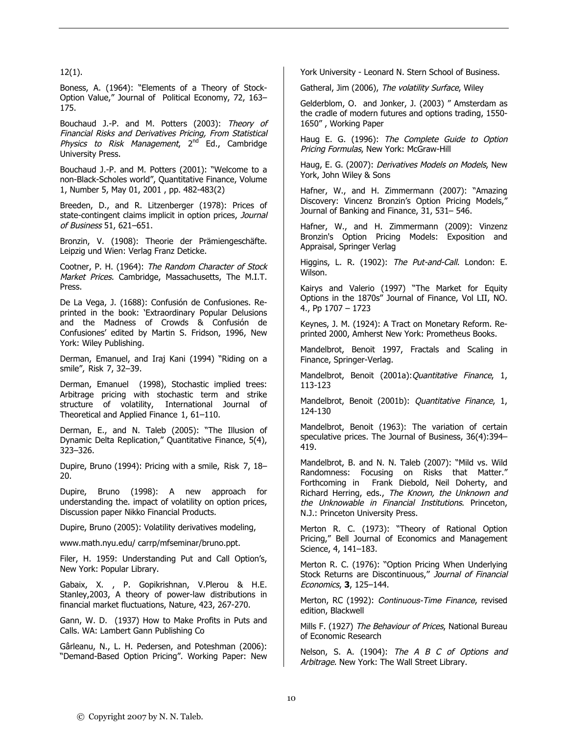12(1).

Boness, A. (1964): "Elements of a Theory of Stock-Option Value," Journal of Political Economy, 72, 163– 175.

Bouchaud J.-P. and M. Potters (2003): Theory of Financial Risks and Derivatives Pricing, From Statistical Physics to Risk Management,  $2<sup>nd</sup>$  Ed., Cambridge University Press.

Bouchaud J.-P. and M. Potters (2001): "Welcome to a non-Black-Scholes world", Quantitative Finance, Volume 1, Number 5, May 01, 2001 , pp. 482-483(2)

Breeden, D., and R. Litzenberger (1978): Prices of state-contingent claims implicit in option prices, Journal of Business 51, 621–651.

Bronzin, V. (1908): Theorie der Prämiengeschäfte. Leipzig und Wien: Verlag Franz Deticke.

Cootner, P. H. (1964): The Random Character of Stock Market Prices. Cambridge, Massachusetts, The M.I.T. Press.

De La Vega, J. (1688): Confusión de Confusiones. Reprinted in the book: 'Extraordinary Popular Delusions and the Madness of Crowds & Confusión de Confusiones' edited by Martin S. Fridson, 1996, New York: Wiley Publishing.

Derman, Emanuel, and Iraj Kani (1994) "Riding on a smile", Risk 7, 32–39.

Derman, Emanuel (1998), Stochastic implied trees: Arbitrage pricing with stochastic term and strike structure of volatility, International Journal of Theoretical and Applied Finance 1, 61–110.

Derman, E., and N. Taleb (2005): "The Illusion of Dynamic Delta Replication," Quantitative Finance, 5(4), 323–326.

Dupire, Bruno (1994): Pricing with a smile, Risk 7, 18– 20.

Dupire, Bruno (1998): A new approach for understanding the. impact of volatility on option prices, Discussion paper Nikko Financial Products.

Dupire, Bruno (2005): Volatility derivatives modeling,

www.math.nyu.edu/ carrp/mfseminar/bruno.ppt.

Filer, H. 1959: Understanding Put and Call Option's, New York: Popular Library.

Gabaix, X. , P. Gopikrishnan, V.Plerou & H.E. Stanley,2003, A theory of power-law distributions in financial market fluctuations, Nature, 423, 267-270.

Gann, W. D. (1937) How to Make Profits in Puts and Calls. WA: Lambert Gann Publishing Co

Gârleanu, N., L. H. Pedersen, and Poteshman (2006): "Demand-Based Option Pricing". Working Paper: New York University - Leonard N. Stern School of Business.

Gatheral, Jim (2006), The volatility Surface, Wiley

Gelderblom, O. and Jonker, J. (2003) " Amsterdam as the cradle of modern futures and options trading, 1550- 1650" , Working Paper

Haug E. G. (1996): The Complete Guide to Option Pricing Formulas, New York: McGraw-Hill

Haug, E. G. (2007): Derivatives Models on Models, New York, John Wiley & Sons

Hafner, W., and H. Zimmermann (2007): "Amazing Discovery: Vincenz Bronzin's Option Pricing Models," Journal of Banking and Finance, 31, 531– 546.

Hafner, W., and H. Zimmermann (2009): Vinzenz Bronzin's Option Pricing Models: Exposition and Appraisal, Springer Verlag

Higgins, L. R. (1902): The Put-and-Call. London: E. Wilson.

Kairys and Valerio (1997) "The Market for Equity Options in the 1870s" Journal of Finance, Vol LII, NO. 4., Pp 1707 – 1723

Keynes, J. M. (1924): A Tract on Monetary Reform. Reprinted 2000, Amherst New York: Prometheus Books.

Mandelbrot, Benoit 1997, Fractals and Scaling in Finance, Springer-Verlag.

Mandelbrot, Benoit (2001a): Quantitative Finance, 1, 113-123

Mandelbrot, Benoit (2001b): Quantitative Finance, 1, 124-130

Mandelbrot, Benoit (1963): The variation of certain speculative prices. The Journal of Business, 36(4):394– 419.

Mandelbrot, B. and N. N. Taleb (2007): "Mild vs. Wild Randomness: Focusing on Risks that Matter." Forthcoming in Frank Diebold, Neil Doherty, and Richard Herring, eds., The Known, the Unknown and the Unknowable in Financial Institutions. Princeton, N.J.: Princeton University Press.

Merton R. C. (1973): "Theory of Rational Option Pricing," Bell Journal of Economics and Management Science, 4, 141–183.

Merton R. C. (1976): ''Option Pricing When Underlying Stock Returns are Discontinuous," Journal of Financial Economics, **3**, 125–144.

Merton, RC (1992): Continuous-Time Finance, revised edition, Blackwell

Mills F. (1927) The Behaviour of Prices, National Bureau of Economic Research

Nelson, S. A. (1904): The A B C of Options and Arbitrage. New York: The Wall Street Library.